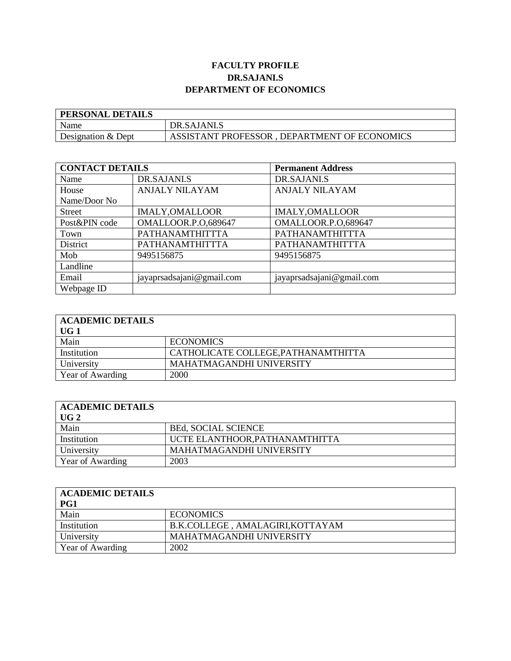## **FACULTY PROFILE DR.SAJANI.S DEPARTMENT OF ECONOMICS**

| <b>PERSONAL DETAILS</b> |                                              |
|-------------------------|----------------------------------------------|
| Name                    | DR.SAJANI.S                                  |
| Designation & Dept      | ASSISTANT PROFESSOR, DEPARTMENT OF ECONOMICS |

| <b>CONTACT DETAILS</b> |                           | <b>Permanent Address</b>  |
|------------------------|---------------------------|---------------------------|
| Name                   | DR.SAJANI.S               | DR.SAJANI.S               |
| House                  | <b>ANJALY NILAYAM</b>     | <b>ANJALY NILAYAM</b>     |
| Name/Door No           |                           |                           |
| <b>Street</b>          | <b>IMALY, OMALLOOR</b>    | <b>IMALY, OMALLOOR</b>    |
| Post&PIN code          | OMALLOOR.P.O,689647       | OMALLOOR.P.O,689647       |
| Town                   | PATHANAMTHITTTA           | PATHANAMTHITTTA           |
| District               | PATHANAMTHITTTA           | PATHANAMTHITTTA           |
| Mob                    | 9495156875                | 9495156875                |
| Landline               |                           |                           |
| Email                  | jayaprsadsajani@gmail.com | jayaprsadsajani@gmail.com |
| Webpage ID             |                           |                           |

| <b>ACADEMIC DETAILS</b> |                                     |
|-------------------------|-------------------------------------|
| UG 1                    |                                     |
| Main                    | <b>ECONOMICS</b>                    |
| Institution             | CATHOLICATE COLLEGE, PATHANAMTHITTA |
| University              | MAHATMAGANDHI UNIVERSITY            |
| Year of Awarding        | 2000                                |

| <b>ACADEMIC DETAILS</b> |                                |
|-------------------------|--------------------------------|
| UG2                     |                                |
| Main                    | <b>BEd, SOCIAL SCIENCE</b>     |
| Institution             | UCTE ELANTHOOR, PATHANAMTHITTA |
| University              | MAHATMAGANDHI UNIVERSITY       |
| Year of Awarding        | 2003                           |

| <b>ACADEMIC DETAILS</b><br>PG1 |                                  |
|--------------------------------|----------------------------------|
| Main                           | <b>ECONOMICS</b>                 |
| Institution                    | B.K.COLLEGE, AMALAGIRI, KOTTAYAM |
| University                     | MAHATMAGANDHI UNIVERSITY         |
| Year of Awarding               | 2002                             |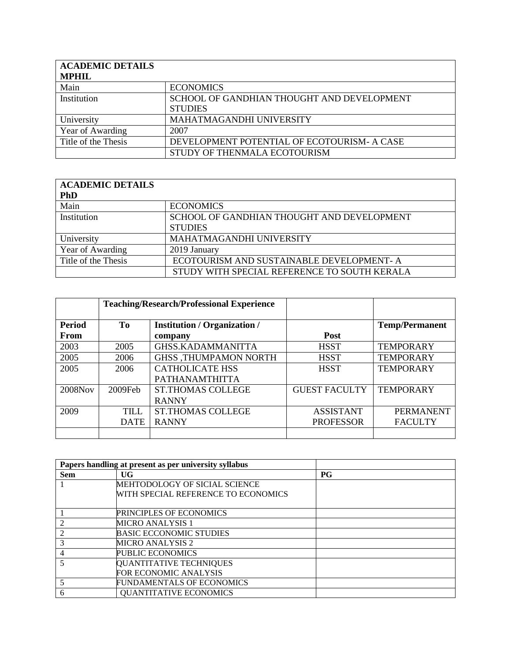| <b>ACADEMIC DETAILS</b><br><b>MPHIL</b> |                                                              |
|-----------------------------------------|--------------------------------------------------------------|
| Main                                    | <b>ECONOMICS</b>                                             |
| Institution                             | SCHOOL OF GANDHIAN THOUGHT AND DEVELOPMENT<br><b>STUDIES</b> |
| University                              | MAHATMAGANDHI UNIVERSITY                                     |
| Year of Awarding                        | 2007                                                         |
| Title of the Thesis                     | DEVELOPMENT POTENTIAL OF ECOTOURISM- A CASE                  |
|                                         | STUDY OF THENMALA ECOTOURISM                                 |

| <b>ACADEMIC DETAILS</b> |                                              |
|-------------------------|----------------------------------------------|
| <b>PhD</b>              |                                              |
| Main                    | <b>ECONOMICS</b>                             |
| Institution             | SCHOOL OF GANDHIAN THOUGHT AND DEVELOPMENT   |
|                         | <b>STUDIES</b>                               |
| University              | MAHATMAGANDHI UNIVERSITY                     |
| Year of Awarding        | 2019 January                                 |
| Title of the Thesis     | ECOTOURISM AND SUSTAINABLE DEVELOPMENT-A     |
|                         | STUDY WITH SPECIAL REFERENCE TO SOUTH KERALA |

|               |                                           | <b>Teaching/Research/Professional Experience</b> |                      |                       |
|---------------|-------------------------------------------|--------------------------------------------------|----------------------|-----------------------|
| <b>Period</b> | To<br><b>Institution / Organization /</b> |                                                  |                      | <b>Temp/Permanent</b> |
| <b>From</b>   |                                           | company                                          | <b>Post</b>          |                       |
| 2003          | 2005                                      | <b>GHSS.KADAMMANITTA</b>                         | <b>HSST</b>          | <b>TEMPORARY</b>      |
| 2005          | 2006                                      | <b>GHSS ,THUMPAMON NORTH</b>                     | <b>HSST</b>          | <b>TEMPORARY</b>      |
| 2005          | 2006                                      | <b>CATHOLICATE HSS</b>                           | <b>HSST</b>          | <b>TEMPORARY</b>      |
|               |                                           | <b>PATHANAMTHITTA</b>                            |                      |                       |
| 2008Nov       | $2009$ Feb                                | <b>ST.THOMAS COLLEGE</b>                         | <b>GUEST FACULTY</b> | <b>TEMPORARY</b>      |
|               |                                           | <b>RANNY</b>                                     |                      |                       |
| 2009          | TILL.                                     | <b>ST.THOMAS COLLEGE</b>                         | <b>ASSISTANT</b>     | <b>PERMANENT</b>      |
|               | <b>DATE</b>                               | <b>RANNY</b>                                     | <b>PROFESSOR</b>     | <b>FACULTY</b>        |
|               |                                           |                                                  |                      |                       |

|            | Papers handling at present as per university syllabus |             |
|------------|-------------------------------------------------------|-------------|
| <b>Sem</b> | UG                                                    | $_{\rm PG}$ |
|            | MEHTODOLOGY OF SICIAL SCIENCE                         |             |
|            | WITH SPECIAL REFERENCE TO ECONOMICS                   |             |
|            |                                                       |             |
|            | PRINCIPLES OF ECONOMICS                               |             |
|            | <b>MICRO ANALYSIS 1</b>                               |             |
|            | <b>BASIC ECCONOMIC STUDIES</b>                        |             |
|            | <b>MICRO ANALYSIS 2</b>                               |             |
| 4          | <b>PUBLIC ECONOMICS</b>                               |             |
|            | QUANTITATIVE TECHNIQUES                               |             |
|            | <b>FOR ECONOMIC ANALYSIS</b>                          |             |
|            | <b>FUNDAMENTALS OF ECONOMICS</b>                      |             |
| 6          | <b>QUANTITATIVE ECONOMICS</b>                         |             |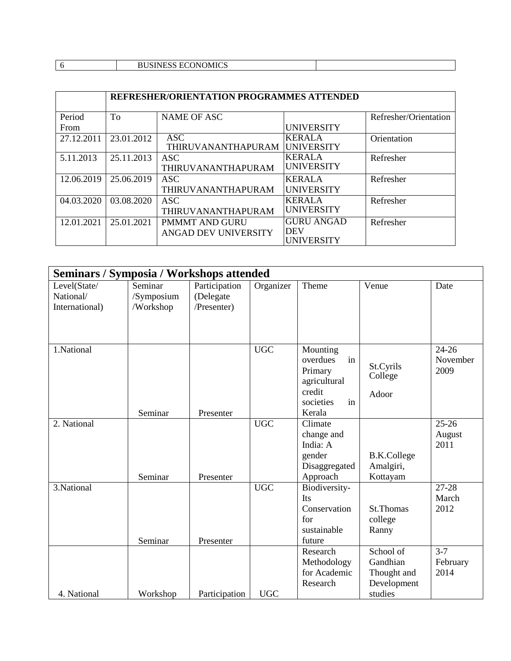|  |  |  | <b>ECOMOMICS</b><br>TTCC<br><b>BUSINESS ECONOMICS</b> |  |
|--|--|--|-------------------------------------------------------|--|
|--|--|--|-------------------------------------------------------|--|

|            | REFRESHER/ORIENTATION PROGRAMMES ATTENDED |                           |                   |                       |  |  |
|------------|-------------------------------------------|---------------------------|-------------------|-----------------------|--|--|
| Period     | To                                        | <b>NAME OF ASC</b>        |                   | Refresher/Orientation |  |  |
| From       |                                           |                           | <b>UNIVERSITY</b> |                       |  |  |
| 27.12.2011 | 23.01.2012                                | <b>ASC</b>                | <b>KERALA</b>     | Orientation           |  |  |
|            |                                           | THIRUVANANTHAPURAM        | <b>UNIVERSITY</b> |                       |  |  |
| 5.11.2013  | 25.11.2013                                | <b>ASC</b>                | <b>KERALA</b>     | Refresher             |  |  |
|            |                                           | <b>THIRUVANANTHAPURAM</b> | <b>UNIVERSITY</b> |                       |  |  |
| 12.06.2019 | 25.06.2019                                | ASC <sup>.</sup>          | <b>KERALA</b>     | Refresher             |  |  |
|            |                                           | <b>THIRUVANANTHAPURAM</b> | <b>UNIVERSITY</b> |                       |  |  |
| 04.03.2020 | 03.08.2020                                | ASC.                      | <b>KERALA</b>     | Refresher             |  |  |
|            |                                           | <b>THIRUVANANTHAPURAM</b> | <b>UNIVERSITY</b> |                       |  |  |
| 12.01.2021 | 25.01.2021                                | <b>PMMMT AND GURU</b>     | <b>GURU ANGAD</b> | Refresher             |  |  |
|            |                                           | ANGAD DEV UNIVERSITY      | <b>DEV</b>        |                       |  |  |
|            |                                           |                           | <b>UNIVERSITY</b> |                       |  |  |

| <b>Seminars / Symposia / Workshops attended</b> |            |               |            |                 |                    |           |
|-------------------------------------------------|------------|---------------|------------|-----------------|--------------------|-----------|
| Level(State/                                    | Seminar    | Participation | Organizer  | Theme           | Venue              | Date      |
| National/                                       | /Symposium | (Delegate     |            |                 |                    |           |
| International)                                  | /Workshop  | /Presenter)   |            |                 |                    |           |
|                                                 |            |               |            |                 |                    |           |
|                                                 |            |               |            |                 |                    |           |
|                                                 |            |               |            |                 |                    |           |
| 1.National                                      |            |               | <b>UGC</b> | Mounting        |                    | $24 - 26$ |
|                                                 |            |               |            | overdues<br>in  | St.Cyrils          | November  |
|                                                 |            |               |            | Primary         | College            | 2009      |
|                                                 |            |               |            | agricultural    |                    |           |
|                                                 |            |               |            | credit          | Adoor              |           |
|                                                 |            |               |            | societies<br>in |                    |           |
|                                                 | Seminar    | Presenter     |            | Kerala          |                    |           |
| 2. National                                     |            |               | <b>UGC</b> | Climate         |                    | $25 - 26$ |
|                                                 |            |               |            | change and      |                    | August    |
|                                                 |            |               |            | India: A        |                    | 2011      |
|                                                 |            |               |            | gender          | <b>B.K.College</b> |           |
|                                                 |            |               |            | Disaggregated   | Amalgiri,          |           |
|                                                 | Seminar    | Presenter     |            | Approach        | Kottayam           |           |
| 3.National                                      |            |               | <b>UGC</b> | Biodiversity-   |                    | $27 - 28$ |
|                                                 |            |               |            | Its             |                    | March     |
|                                                 |            |               |            | Conservation    | St.Thomas          | 2012      |
|                                                 |            |               |            | for             | college            |           |
|                                                 |            |               |            | sustainable     | Ranny              |           |
|                                                 | Seminar    | Presenter     |            | future          |                    |           |
|                                                 |            |               |            | Research        | School of          | $3 - 7$   |
|                                                 |            |               |            | Methodology     | Gandhian           | February  |
|                                                 |            |               |            | for Academic    | Thought and        | 2014      |
|                                                 |            |               |            | Research        | Development        |           |
| 4. National                                     | Workshop   | Participation | <b>UGC</b> |                 | studies            |           |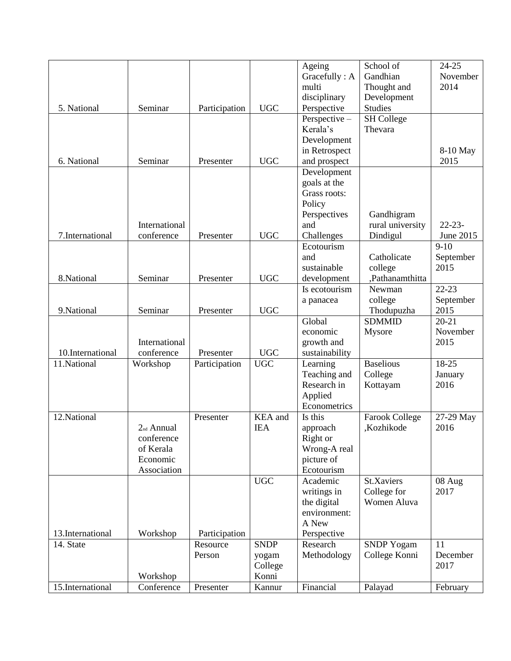|                  |                        |               |             | Ageing                     | School of             | 24-25       |
|------------------|------------------------|---------------|-------------|----------------------------|-----------------------|-------------|
|                  |                        |               |             | Gracefully: A              | Gandhian              | November    |
|                  |                        |               |             | multi                      | Thought and           | 2014        |
|                  |                        |               |             | disciplinary               | Development           |             |
| 5. National      | Seminar                | Participation | <b>UGC</b>  | Perspective                | <b>Studies</b>        |             |
|                  |                        |               |             | Perspective -              | <b>SH College</b>     |             |
|                  |                        |               |             | Kerala's                   | Thevara               |             |
|                  |                        |               |             | Development                |                       |             |
|                  |                        |               |             | in Retrospect              |                       | 8-10 May    |
| 6. National      | Seminar                | Presenter     | <b>UGC</b>  | and prospect               |                       | 2015        |
|                  |                        |               |             | Development                |                       |             |
|                  |                        |               |             | goals at the               |                       |             |
|                  |                        |               |             | Grass roots:               |                       |             |
|                  |                        |               |             | Policy                     |                       |             |
|                  |                        |               |             | Perspectives               | Gandhigram            |             |
|                  | International          |               |             | and                        | rural university      | $22 - 23 -$ |
| 7. International | conference             | Presenter     | <b>UGC</b>  | Challenges                 | Dindigul              | June 2015   |
|                  |                        |               |             | Ecotourism                 |                       | $9-10$      |
|                  |                        |               |             | and                        | Catholicate           | September   |
|                  |                        |               |             | sustainable                | college               | 2015        |
| 8.National       | Seminar                | Presenter     | <b>UGC</b>  | development                | ,Pathanamthitta       |             |
|                  |                        |               |             | Is ecotourism              | Newman                | $22 - 23$   |
|                  |                        |               |             | a panacea                  | college               | September   |
| 9.National       | Seminar                | Presenter     | <b>UGC</b>  |                            | Thodupuzha            | 2015        |
|                  |                        |               |             | Global                     | <b>SDMMID</b>         | $20 - 21$   |
|                  |                        |               |             | economic                   | Mysore                | November    |
|                  | International          |               |             | growth and                 |                       | 2015        |
| 10.International | conference             | Presenter     | <b>UGC</b>  | sustainability             |                       |             |
| 11.National      | Workshop               | Participation | <b>UGC</b>  | Learning                   | <b>Baselious</b>      | 18-25       |
|                  |                        |               |             | Teaching and               | College               | January     |
|                  |                        |               |             | Research in                | Kottayam              | 2016        |
|                  |                        |               |             | Applied                    |                       |             |
|                  |                        |               |             | Econometrics               |                       |             |
| 12.National      |                        | Presenter     | KEA and     | Is this                    | <b>Farook College</b> | 27-29 May   |
|                  | 2 <sub>nd</sub> Annual |               | <b>IEA</b>  | approach                   | ,Kozhikode            | 2016        |
|                  | conference             |               |             | Right or                   |                       |             |
|                  | of Kerala<br>Economic  |               |             | Wrong-A real<br>picture of |                       |             |
|                  | Association            |               |             | Ecotourism                 |                       |             |
|                  |                        |               | <b>UGC</b>  | Academic                   | St.Xaviers            | 08 Aug      |
|                  |                        |               |             | writings in                | College for           | 2017        |
|                  |                        |               |             | the digital                | Women Aluva           |             |
|                  |                        |               |             | environment:               |                       |             |
|                  |                        |               |             | A New                      |                       |             |
| 13.International | Workshop               | Participation |             | Perspective                |                       |             |
| 14. State        |                        | Resource      | <b>SNDP</b> | Research                   | <b>SNDP Yogam</b>     | 11          |
|                  |                        | Person        | yogam       | Methodology                | College Konni         | December    |
|                  |                        |               | College     |                            |                       | 2017        |
|                  | Workshop               |               | Konni       |                            |                       |             |
| 15.International | Conference             | Presenter     | Kannur      | Financial                  | Palayad               | February    |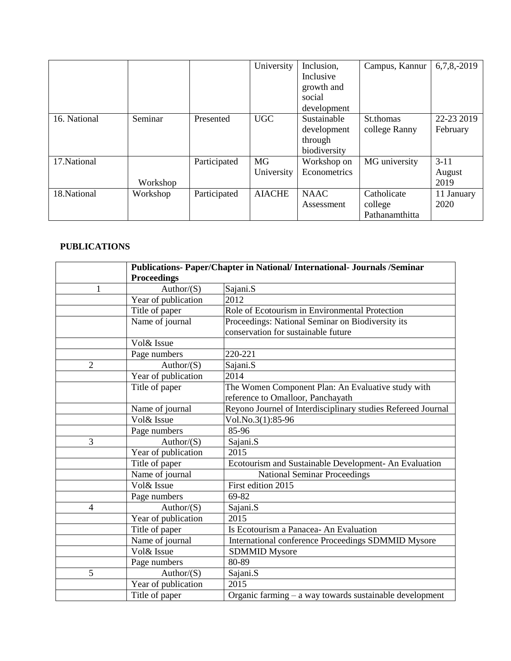|              |          |              | University       | Inclusion,<br>Inclusive<br>growth and<br>social<br>development | Campus, Kannur                           | $6,7,8,-2019$            |
|--------------|----------|--------------|------------------|----------------------------------------------------------------|------------------------------------------|--------------------------|
| 16. National | Seminar  | Presented    | <b>UGC</b>       | Sustainable<br>development<br>through<br>biodiversity          | St.thomas<br>college Ranny               | 22-23 2019<br>February   |
| 17. National | Workshop | Participated | MG<br>University | Workshop on<br>Econometrics                                    | MG university                            | $3-11$<br>August<br>2019 |
| 18. National | Workshop | Participated | <b>AIACHE</b>    | <b>NAAC</b><br>Assessment                                      | Catholicate<br>college<br>Pathanamthitta | 11 January<br>2020       |

## **PUBLICATIONS**

|                | Publications- Paper/Chapter in National/ International- Journals /Seminar |                                                              |  |  |
|----------------|---------------------------------------------------------------------------|--------------------------------------------------------------|--|--|
|                | <b>Proceedings</b>                                                        |                                                              |  |  |
| 1              | Author/ $(S)$                                                             | Sajani.S                                                     |  |  |
|                | Year of publication                                                       | 2012                                                         |  |  |
|                | Title of paper                                                            | Role of Ecotourism in Environmental Protection               |  |  |
|                | Name of journal                                                           | Proceedings: National Seminar on Biodiversity its            |  |  |
|                |                                                                           | conservation for sustainable future                          |  |  |
|                | Vol& Issue                                                                |                                                              |  |  |
|                | Page numbers                                                              | 220-221                                                      |  |  |
| $\overline{2}$ | Author/ $(S)$                                                             | Sajani.S                                                     |  |  |
|                | Year of publication                                                       | 2014                                                         |  |  |
|                | Title of paper                                                            | The Women Component Plan: An Evaluative study with           |  |  |
|                |                                                                           | reference to Omalloor, Panchayath                            |  |  |
|                | Name of journal                                                           | Reyono Journel of Interdisciplinary studies Refereed Journal |  |  |
|                | Vol& Issue                                                                | Vol.No.3(1):85-96                                            |  |  |
|                | Page numbers                                                              | 85-96                                                        |  |  |
| 3              | Author/ $(S)$                                                             | Sajani.S                                                     |  |  |
|                | Year of publication                                                       | 2015                                                         |  |  |
|                | Title of paper                                                            | Ecotourism and Sustainable Development- An Evaluation        |  |  |
|                | Name of journal                                                           | <b>National Seminar Proceedings</b>                          |  |  |
|                | Vol& Issue                                                                | First edition 2015                                           |  |  |
|                | Page numbers                                                              | 69-82                                                        |  |  |
| $\overline{4}$ | Author/ $(S)$                                                             | Sajani.S                                                     |  |  |
|                | Year of publication                                                       | 2015                                                         |  |  |
|                | Title of paper                                                            | Is Ecotourism a Panacea- An Evaluation                       |  |  |
|                | Name of journal                                                           | International conference Proceedings SDMMID Mysore           |  |  |
|                | Vol& Issue                                                                | <b>SDMMID Mysore</b>                                         |  |  |
|                | Page numbers                                                              | 80-89                                                        |  |  |
| 5              | Author/ $(S)$                                                             | Sajani.S                                                     |  |  |
|                | Year of publication                                                       | 2015                                                         |  |  |
|                | Title of paper                                                            | Organic farming $-$ a way towards sustainable development    |  |  |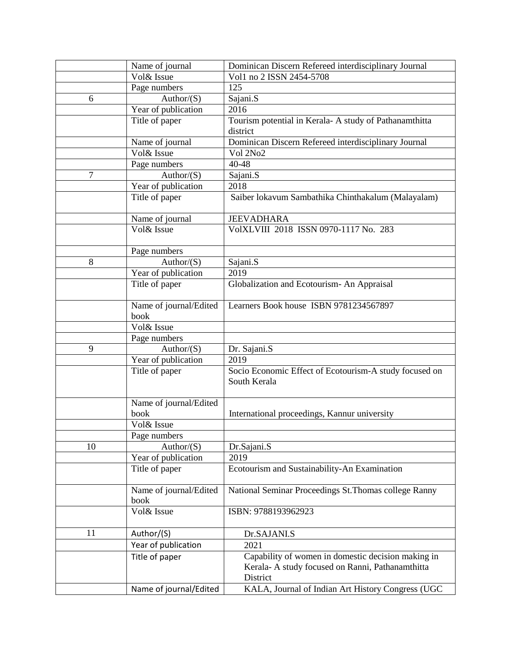|                | Name of journal            | Dominican Discern Refereed interdisciplinary Journal   |
|----------------|----------------------------|--------------------------------------------------------|
|                | Vol& Issue                 | Vol1 no 2 ISSN 2454-5708                               |
|                | Page numbers               | 125                                                    |
| 6              | Author/ $(S)$              | Sajani.S                                               |
|                | Year of publication        | 2016                                                   |
|                | Title of paper             | Tourism potential in Kerala-A study of Pathanamthitta  |
|                |                            | district                                               |
|                | Name of journal            | Dominican Discern Refereed interdisciplinary Journal   |
|                | Vol& Issue                 | Vol 2No2                                               |
|                | Page numbers               | 40-48                                                  |
| $\overline{7}$ | Author/ $(S)$              | Sajani.S                                               |
|                | Year of publication        | 2018                                                   |
|                | Title of paper             | Saiber lokavum Sambathika Chinthakalum (Malayalam)     |
|                |                            |                                                        |
|                | Name of journal            | <b>JEEVADHARA</b>                                      |
|                | Vol& Issue                 | VolXLVIII 2018 ISSN 0970-1117 No. 283                  |
|                |                            |                                                        |
|                | Page numbers               |                                                        |
| 8              | Author/ $(S)$              | Sajani.S                                               |
|                | Year of publication        | 2019                                                   |
|                | Title of paper             | Globalization and Ecotourism- An Appraisal             |
|                |                            |                                                        |
|                | Name of journal/Edited     | Learners Book house ISBN 9781234567897                 |
|                | book                       |                                                        |
|                | Vol& Issue                 |                                                        |
|                | Page numbers               |                                                        |
| 9              | Author/ $(S)$              | Dr. Sajani.S                                           |
|                | Year of publication        | 2019                                                   |
|                | Title of paper             | Socio Economic Effect of Ecotourism-A study focused on |
|                |                            | South Kerala                                           |
|                |                            |                                                        |
|                | Name of journal/Edited     |                                                        |
|                | book                       | International proceedings, Kannur university           |
|                | Vol& Issue<br>Page numbers |                                                        |
|                |                            |                                                        |
| 10             | Author/ $(S)$              | Dr.Sajani.S<br>2019                                    |
|                | Year of publication        |                                                        |
|                | Title of paper             | Ecotourism and Sustainability-An Examination           |
|                | Name of journal/Edited     | National Seminar Proceedings St. Thomas college Ranny  |
|                | book                       |                                                        |
|                | Vol& Issue                 | ISBN: 9788193962923                                    |
|                |                            |                                                        |
| 11             | Author/(S)                 | Dr.SAJANI.S                                            |
|                | Year of publication        | 2021                                                   |
|                | Title of paper             | Capability of women in domestic decision making in     |
|                |                            | Kerala-A study focused on Ranni, Pathanamthitta        |
|                |                            | District                                               |
|                | Name of journal/Edited     | KALA, Journal of Indian Art History Congress (UGC      |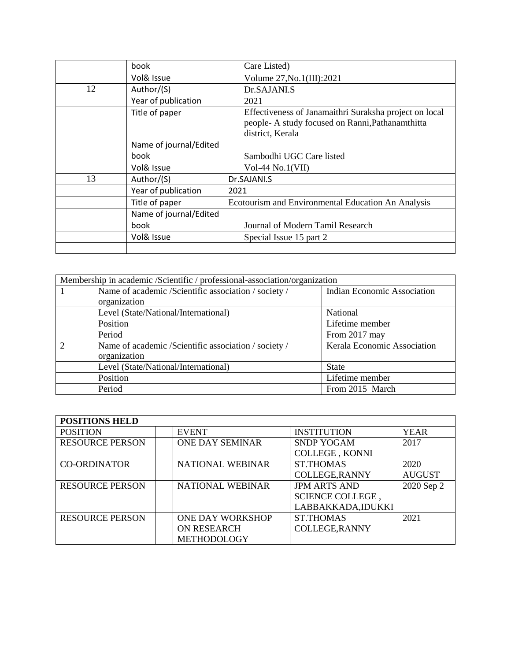|    | book                   | Care Listed)                                                                                                                   |
|----|------------------------|--------------------------------------------------------------------------------------------------------------------------------|
|    | Vol& Issue             | Volume 27, No. 1(III): 2021                                                                                                    |
| 12 | Author/(S)             | Dr.SAJANI.S                                                                                                                    |
|    | Year of publication    | 2021                                                                                                                           |
|    | Title of paper         | Effectiveness of Janamaithri Suraksha project on local<br>people- A study focused on Ranni, Pathanamthitta<br>district, Kerala |
|    | Name of journal/Edited |                                                                                                                                |
|    | book                   | Sambodhi UGC Care listed                                                                                                       |
|    | Vol& Issue             | Vol-44 $No.1(VII)$                                                                                                             |
| 13 | Author/(S)             | Dr.SAJANI.S                                                                                                                    |
|    | Year of publication    | 2021                                                                                                                           |
|    | Title of paper         | Ecotourism and Environmental Education An Analysis                                                                             |
|    | Name of journal/Edited |                                                                                                                                |
|    | book                   | Journal of Modern Tamil Research                                                                                               |
|    | Vol& Issue             | Special Issue 15 part 2                                                                                                        |
|    |                        |                                                                                                                                |

| Membership in academic /Scientific / professional-association/organization |                                    |  |  |  |
|----------------------------------------------------------------------------|------------------------------------|--|--|--|
| Name of academic /Scientific association / society /<br>organization       | <b>Indian Economic Association</b> |  |  |  |
| Level (State/National/International)                                       | National                           |  |  |  |
| Position                                                                   | Lifetime member                    |  |  |  |
| Period                                                                     | From 2017 may                      |  |  |  |
| Name of academic /Scientific association / society /<br>organization       | Kerala Economic Association        |  |  |  |
| Level (State/National/International)                                       | <b>State</b>                       |  |  |  |
| Position                                                                   | Lifetime member                    |  |  |  |
| Period                                                                     | From 2015 March                    |  |  |  |

| <b>POSITIONS HELD</b>  |                         |                       |               |
|------------------------|-------------------------|-----------------------|---------------|
| <b>POSITION</b>        | <b>EVENT</b>            | <b>INSTITUTION</b>    | <b>YEAR</b>   |
| <b>RESOURCE PERSON</b> | <b>ONE DAY SEMINAR</b>  | <b>SNDP YOGAM</b>     | 2017          |
|                        |                         | <b>COLLEGE, KONNI</b> |               |
| <b>CO-ORDINATOR</b>    | NATIONAL WEBINAR        | <b>ST.THOMAS</b>      | 2020          |
|                        |                         | <b>COLLEGE, RANNY</b> | <b>AUGUST</b> |
| <b>RESOURCE PERSON</b> | <b>NATIONAL WEBINAR</b> | <b>JPM ARTS AND</b>   | 2020 Sep 2    |
|                        |                         | SCIENCE COLLEGE,      |               |
|                        |                         | LABBAKKADA,IDUKKI     |               |
| <b>RESOURCE PERSON</b> | <b>ONE DAY WORKSHOP</b> | <b>ST.THOMAS</b>      | 2021          |
|                        | <b>ON RESEARCH</b>      | <b>COLLEGE, RANNY</b> |               |
|                        | <b>METHODOLOGY</b>      |                       |               |